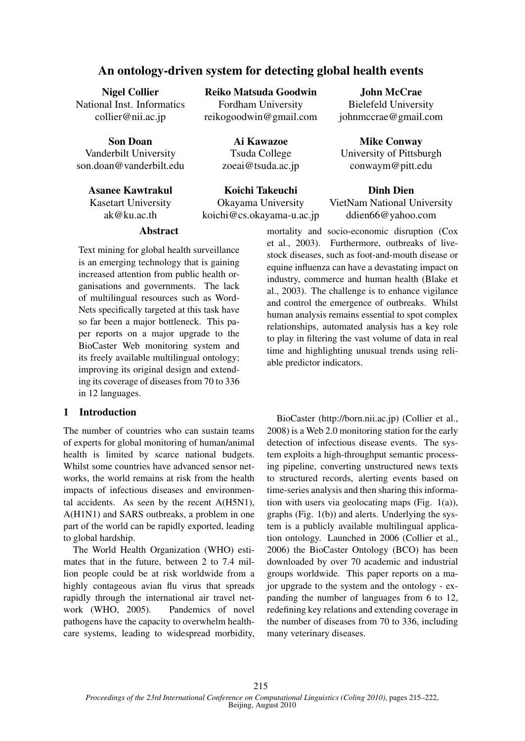# An ontology-driven system for detecting global health events

Nigel Collier National Inst. Informatics collier@nii.ac.jp

Son Doan Vanderbilt University son.doan@vanderbilt.edu

# Asanee Kawtrakul

Kasetart University ak@ku.ac.th

Reiko Matsuda Goodwin Fordham University reikogoodwin@gmail.com

> Ai Kawazoe Tsuda College zoeai@tsuda.ac.jp

Koichi Takeuchi Okayama University koichi@cs.okayama-u.ac.jp

John McCrae Bielefeld University johnmccrae@gmail.com

Mike Conway University of Pittsburgh conwaym@pitt.edu

#### Dinh Dien

VietNam National University ddien66@yahoo.com

# Abstract

Text mining for global health surveillance is an emerging technology that is gaining increased attention from public health organisations and governments. The lack of multilingual resources such as Word-Nets specifically targeted at this task have so far been a major bottleneck. This paper reports on a major upgrade to the BioCaster Web monitoring system and its freely available multilingual ontology; improving its original design and extending its coverage of diseases from 70 to 336 in 12 languages.

# 1 Introduction

The number of countries who can sustain teams of experts for global monitoring of human/animal health is limited by scarce national budgets. Whilst some countries have advanced sensor networks, the world remains at risk from the health impacts of infectious diseases and environmental accidents. As seen by the recent A(H5N1), A(H1N1) and SARS outbreaks, a problem in one part of the world can be rapidly exported, leading to global hardship.

The World Health Organization (WHO) estimates that in the future, between 2 to 7.4 million people could be at risk worldwide from a highly contageous avian flu virus that spreads rapidly through the international air travel network (WHO, 2005). Pandemics of novel pathogens have the capacity to overwhelm healthcare systems, leading to widespread morbidity, mortality and socio-economic disruption (Cox et al., 2003). Furthermore, outbreaks of livestock diseases, such as foot-and-mouth disease or equine influenza can have a devastating impact on industry, commerce and human health (Blake et al., 2003). The challenge is to enhance vigilance and control the emergence of outbreaks. Whilst human analysis remains essential to spot complex relationships, automated analysis has a key role to play in filtering the vast volume of data in real time and highlighting unusual trends using reliable predictor indicators.

BioCaster (http://born.nii.ac.jp) (Collier et al., 2008) is a Web 2.0 monitoring station for the early detection of infectious disease events. The system exploits a high-throughput semantic processing pipeline, converting unstructured news texts to structured records, alerting events based on time-series analysis and then sharing this information with users via geolocating maps (Fig. 1(a)), graphs (Fig. 1(b)) and alerts. Underlying the system is a publicly available multilingual application ontology. Launched in 2006 (Collier et al., 2006) the BioCaster Ontology (BCO) has been downloaded by over 70 academic and industrial groups worldwide. This paper reports on a major upgrade to the system and the ontology - expanding the number of languages from 6 to 12, redefining key relations and extending coverage in the number of diseases from 70 to 336, including many veterinary diseases.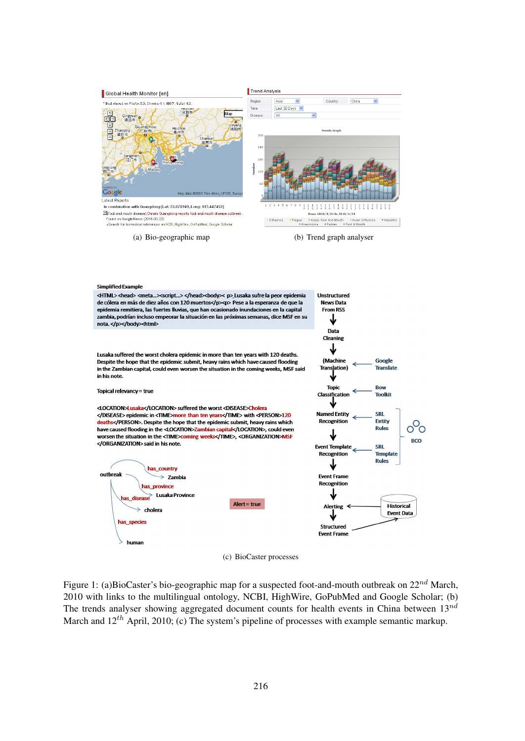

(a) Bio-geographic map (b) Trend graph analyser

Structured **Event Frame** 

#### **Simplified Example**

human

<HTML> <head> <meta...><script...> </head><body>< p> Lusaka sufre la peor epidemia Unstructured de cólera en más de diez años con 120 muertos</p>>> Pese a la esperanza de que la **News Data** epidemia remitiera, las fuertes lluvias, que han ocasionado inundaciones en la capital **From RSS** zambia, podrían incluso empeorar la situación en las próximas semanas, dice MSF en su ↓ nota.</p></body><html> Data Cleaning ↓ Lusaka suffered the worst cholera epidemic in more than ten years with 120 deaths. (Machine Google Despite the hope that the epidemic submit, heavy rains which have caused flooding Translation) **Translate** in the Zambian capital, could even worsen the situation in the coming weeks. MSF said in his note. **Topic Bow** Topical relevancy = true Classification **Toolkit** <LOCATION>Lusaka</LOCATION> suffered the worst <DISEASE>Cholera </DISEASE> epidemic in <TIME>more than ten years</TIME> with <PERSON>120 **Named Entity SRL** deaths</PERSON>. Despite the hope that the epidemic submit, heavy rains which Recognition Entity റ്റ Rules have caused flooding in the <LOCATION>Zambian capital</LOCATION>, could even ↓ worsen the situation in the <TIME>coming weeks</TIME>, <ORGANIZATION>MSF **BCO** </ORGANIZATION> said in his note. **Event Template SRL** Recognition **Template Rules** has\_country outbreak **Event Frame**  $\rightarrow$  Zambia Recognition as province  $\geq$  Lusaka Province s disease Alert = true **Historical Alerting**  $\geq$  cholers Event Data has species

(c) BioCaster processes

Figure 1: (a)BioCaster's bio-geographic map for a suspected foot-and-mouth outbreak on  $22^{nd}$  March, 2010 with links to the multilingual ontology, NCBI, HighWire, GoPubMed and Google Scholar; (b) The trends analyser showing aggregated document counts for health events in China between  $13^{nd}$ March and  $12^{th}$  April, 2010; (c) The system's pipeline of processes with example semantic markup.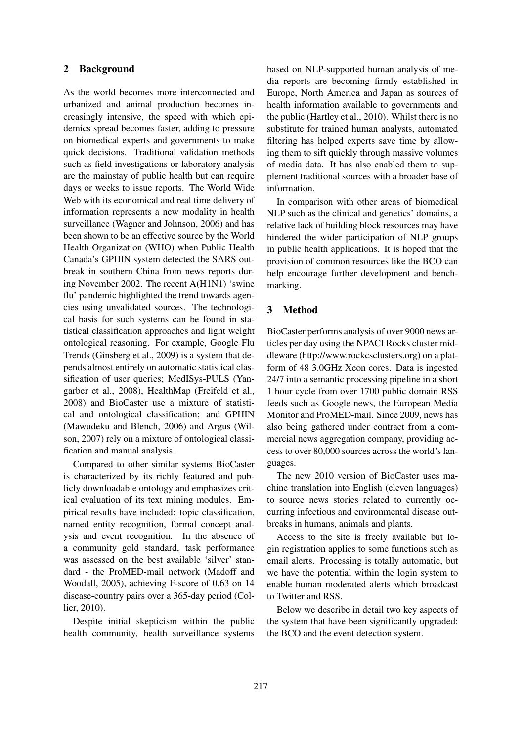# 2 Background

As the world becomes more interconnected and urbanized and animal production becomes increasingly intensive, the speed with which epidemics spread becomes faster, adding to pressure on biomedical experts and governments to make quick decisions. Traditional validation methods such as field investigations or laboratory analysis are the mainstay of public health but can require days or weeks to issue reports. The World Wide Web with its economical and real time delivery of information represents a new modality in health surveillance (Wagner and Johnson, 2006) and has been shown to be an effective source by the World Health Organization (WHO) when Public Health Canada's GPHIN system detected the SARS outbreak in southern China from news reports during November 2002. The recent A(H1N1) 'swine flu' pandemic highlighted the trend towards agencies using unvalidated sources. The technological basis for such systems can be found in statistical classification approaches and light weight ontological reasoning. For example, Google Flu Trends (Ginsberg et al., 2009) is a system that depends almost entirely on automatic statistical classification of user queries; MedISys-PULS (Yangarber et al., 2008), HealthMap (Freifeld et al., 2008) and BioCaster use a mixture of statistical and ontological classification; and GPHIN (Mawudeku and Blench, 2006) and Argus (Wilson, 2007) rely on a mixture of ontological classification and manual analysis.

Compared to other similar systems BioCaster is characterized by its richly featured and publicly downloadable ontology and emphasizes critical evaluation of its text mining modules. Empirical results have included: topic classification, named entity recognition, formal concept analysis and event recognition. In the absence of a community gold standard, task performance was assessed on the best available 'silver' standard - the ProMED-mail network (Madoff and Woodall, 2005), achieving F-score of 0.63 on 14 disease-country pairs over a 365-day period (Collier, 2010).

Despite initial skepticism within the public health community, health surveillance systems based on NLP-supported human analysis of media reports are becoming firmly established in Europe, North America and Japan as sources of health information available to governments and the public (Hartley et al., 2010). Whilst there is no substitute for trained human analysts, automated filtering has helped experts save time by allowing them to sift quickly through massive volumes of media data. It has also enabled them to supplement traditional sources with a broader base of information.

In comparison with other areas of biomedical NLP such as the clinical and genetics' domains, a relative lack of building block resources may have hindered the wider participation of NLP groups in public health applications. It is hoped that the provision of common resources like the BCO can help encourage further development and benchmarking.

# 3 Method

BioCaster performs analysis of over 9000 news articles per day using the NPACI Rocks cluster middleware (http://www.rockcsclusters.org) on a platform of 48 3.0GHz Xeon cores. Data is ingested 24/7 into a semantic processing pipeline in a short 1 hour cycle from over 1700 public domain RSS feeds such as Google news, the European Media Monitor and ProMED-mail. Since 2009, news has also being gathered under contract from a commercial news aggregation company, providing access to over 80,000 sources across the world's languages.

The new 2010 version of BioCaster uses machine translation into English (eleven languages) to source news stories related to currently occurring infectious and environmental disease outbreaks in humans, animals and plants.

Access to the site is freely available but login registration applies to some functions such as email alerts. Processing is totally automatic, but we have the potential within the login system to enable human moderated alerts which broadcast to Twitter and RSS.

Below we describe in detail two key aspects of the system that have been significantly upgraded: the BCO and the event detection system.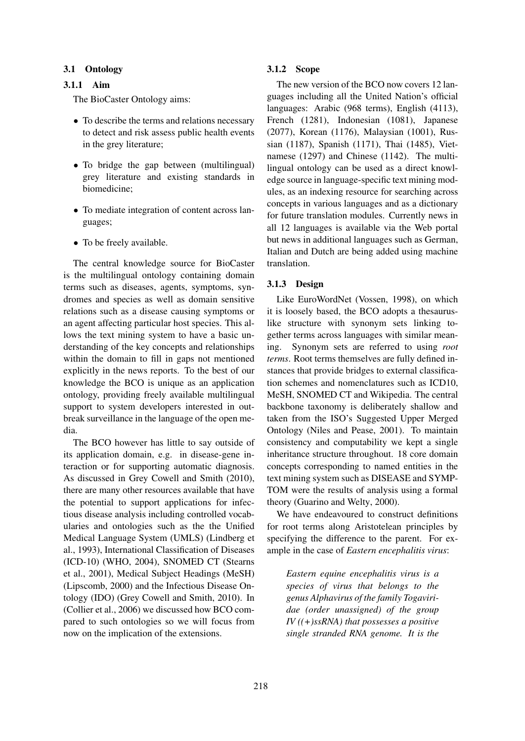### 3.1 Ontology

#### 3.1.1 Aim

The BioCaster Ontology aims:

- To describe the terms and relations necessary to detect and risk assess public health events in the grey literature;
- To bridge the gap between (multilingual) grey literature and existing standards in biomedicine;
- To mediate integration of content across languages;
- To be freely available.

The central knowledge source for BioCaster is the multilingual ontology containing domain terms such as diseases, agents, symptoms, syndromes and species as well as domain sensitive relations such as a disease causing symptoms or an agent affecting particular host species. This allows the text mining system to have a basic understanding of the key concepts and relationships within the domain to fill in gaps not mentioned explicitly in the news reports. To the best of our knowledge the BCO is unique as an application ontology, providing freely available multilingual support to system developers interested in outbreak surveillance in the language of the open media.

The BCO however has little to say outside of its application domain, e.g. in disease-gene interaction or for supporting automatic diagnosis. As discussed in Grey Cowell and Smith (2010), there are many other resources available that have the potential to support applications for infectious disease analysis including controlled vocabularies and ontologies such as the the Unified Medical Language System (UMLS) (Lindberg et al., 1993), International Classification of Diseases (ICD-10) (WHO, 2004), SNOMED CT (Stearns et al., 2001), Medical Subject Headings (MeSH) (Lipscomb, 2000) and the Infectious Disease Ontology (IDO) (Grey Cowell and Smith, 2010). In (Collier et al., 2006) we discussed how BCO compared to such ontologies so we will focus from now on the implication of the extensions.

#### 3.1.2 Scope

The new version of the BCO now covers 12 languages including all the United Nation's official languages: Arabic (968 terms), English (4113), French (1281), Indonesian (1081), Japanese (2077), Korean (1176), Malaysian (1001), Russian (1187), Spanish (1171), Thai (1485), Vietnamese (1297) and Chinese (1142). The multilingual ontology can be used as a direct knowledge source in language-specific text mining modules, as an indexing resource for searching across concepts in various languages and as a dictionary for future translation modules. Currently news in all 12 languages is available via the Web portal but news in additional languages such as German, Italian and Dutch are being added using machine translation.

# 3.1.3 Design

Like EuroWordNet (Vossen, 1998), on which it is loosely based, the BCO adopts a thesauruslike structure with synonym sets linking together terms across languages with similar meaning. Synonym sets are referred to using *root terms*. Root terms themselves are fully defined instances that provide bridges to external classification schemes and nomenclatures such as ICD10, MeSH, SNOMED CT and Wikipedia. The central backbone taxonomy is deliberately shallow and taken from the ISO's Suggested Upper Merged Ontology (Niles and Pease, 2001). To maintain consistency and computability we kept a single inheritance structure throughout. 18 core domain concepts corresponding to named entities in the text mining system such as DISEASE and SYMP-TOM were the results of analysis using a formal theory (Guarino and Welty, 2000).

We have endeavoured to construct definitions for root terms along Aristotelean principles by specifying the difference to the parent. For example in the case of *Eastern encephalitis virus*:

*Eastern equine encephalitis virus is a species of virus that belongs to the genus Alphavirus of the family Togaviridae (order unassigned) of the group IV ((+)ssRNA) that possesses a positive single stranded RNA genome. It is the*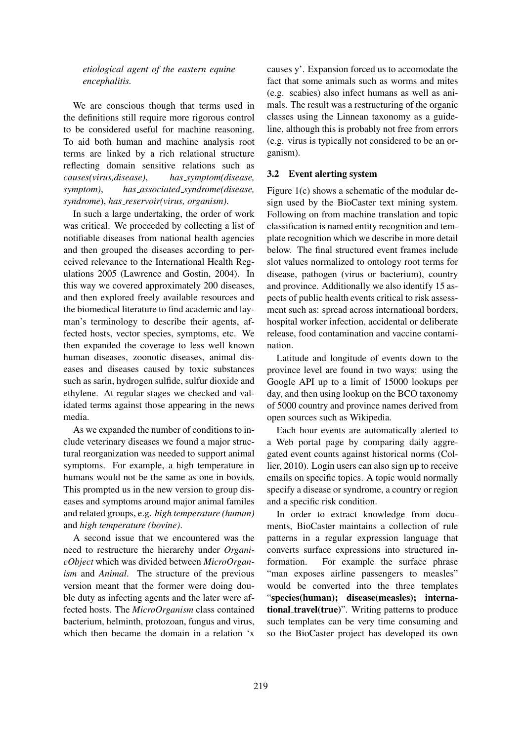*etiological agent of the eastern equine encephalitis.*

We are conscious though that terms used in the definitions still require more rigorous control to be considered useful for machine reasoning. To aid both human and machine analysis root terms are linked by a rich relational structure reflecting domain sensitive relations such as *causes(virus,disease)*, *has symptom(disease, symptom)*, *has associated syndrome(disease, syndrome*), *has reservoir(virus, organism)*.

In such a large undertaking, the order of work was critical. We proceeded by collecting a list of notifiable diseases from national health agencies and then grouped the diseases according to perceived relevance to the International Health Regulations 2005 (Lawrence and Gostin, 2004). In this way we covered approximately 200 diseases, and then explored freely available resources and the biomedical literature to find academic and layman's terminology to describe their agents, affected hosts, vector species, symptoms, etc. We then expanded the coverage to less well known human diseases, zoonotic diseases, animal diseases and diseases caused by toxic substances such as sarin, hydrogen sulfide, sulfur dioxide and ethylene. At regular stages we checked and validated terms against those appearing in the news media.

As we expanded the number of conditions to include veterinary diseases we found a major structural reorganization was needed to support animal symptoms. For example, a high temperature in humans would not be the same as one in bovids. This prompted us in the new version to group diseases and symptoms around major animal familes and related groups, e.g. *high temperature (human)* and *high temperature (bovine)*.

A second issue that we encountered was the need to restructure the hierarchy under *OrganicObject* which was divided between *MicroOrganism* and *Animal*. The structure of the previous version meant that the former were doing double duty as infecting agents and the later were affected hosts. The *MicroOrganism* class contained bacterium, helminth, protozoan, fungus and virus, which then became the domain in a relation 'x causes y'. Expansion forced us to accomodate the fact that some animals such as worms and mites (e.g. scabies) also infect humans as well as animals. The result was a restructuring of the organic classes using the Linnean taxonomy as a guideline, although this is probably not free from errors (e.g. virus is typically not considered to be an organism).

### 3.2 Event alerting system

Figure 1(c) shows a schematic of the modular design used by the BioCaster text mining system. Following on from machine translation and topic classification is named entity recognition and template recognition which we describe in more detail below. The final structured event frames include slot values normalized to ontology root terms for disease, pathogen (virus or bacterium), country and province. Additionally we also identify 15 aspects of public health events critical to risk assessment such as: spread across international borders, hospital worker infection, accidental or deliberate release, food contamination and vaccine contamination.

Latitude and longitude of events down to the province level are found in two ways: using the Google API up to a limit of 15000 lookups per day, and then using lookup on the BCO taxonomy of 5000 country and province names derived from open sources such as Wikipedia.

Each hour events are automatically alerted to a Web portal page by comparing daily aggregated event counts against historical norms (Collier, 2010). Login users can also sign up to receive emails on specific topics. A topic would normally specify a disease or syndrome, a country or region and a specific risk condition.

In order to extract knowledge from documents, BioCaster maintains a collection of rule patterns in a regular expression language that converts surface expressions into structured information. For example the surface phrase "man exposes airline passengers to measles" would be converted into the three templates "species(human); disease(measles); international\_travel(true)". Writing patterns to produce such templates can be very time consuming and so the BioCaster project has developed its own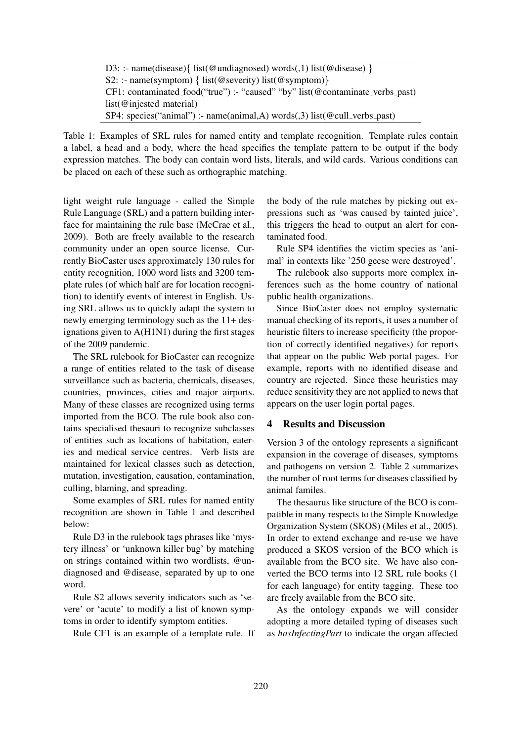| D3: :- name(disease){ list(@undiagnosed) words(,1) list(@disease) }                                           |
|---------------------------------------------------------------------------------------------------------------|
| S2: :- name(symptom) { list(@severity) list(@symptom)}                                                        |
| $CF1: contaminated\_food("true") :- "caused" "by" list(\textcircled{a} \text{contaminate\_verbs}\text{past})$ |
| $list(@injected_matrix)$                                                                                      |
| SP4: species("animal") :- name(animal,A) words(,3) list(@cull_verbs_past)                                     |

Table 1: Examples of SRL rules for named entity and template recognition. Template rules contain a label, a head and a body, where the head specifies the template pattern to be output if the body expression matches. The body can contain word lists, literals, and wild cards. Various conditions can be placed on each of these such as orthographic matching.

light weight rule language - called the Simple Rule Language (SRL) and a pattern building interface for maintaining the rule base (McCrae et al., 2009). Both are freely available to the research community under an open source license. Currently BioCaster uses approximately 130 rules for entity recognition, 1000 word lists and 3200 template rules (of which half are for location recognition) to identify events of interest in English. Using SRL allows us to quickly adapt the system to newly emerging terminology such as the 11+ designations given to A(H1N1) during the first stages of the 2009 pandemic.

The SRL rulebook for BioCaster can recognize a range of entities related to the task of disease surveillance such as bacteria, chemicals, diseases, countries, provinces, cities and major airports. Many of these classes are recognized using terms imported from the BCO. The rule book also contains specialised thesauri to recognize subclasses of entities such as locations of habitation, eateries and medical service centres. Verb lists are maintained for lexical classes such as detection, mutation, investigation, causation, contamination, culling, blaming, and spreading.

Some examples of SRL rules for named entity recognition are shown in Table 1 and described below:

Rule D3 in the rulebook tags phrases like 'mystery illness' or 'unknown killer bug' by matching on strings contained within two wordlists, @undiagnosed and @disease, separated by up to one word.

Rule S2 allows severity indicators such as 'severe' or 'acute' to modify a list of known symptoms in order to identify symptom entities.

Rule CF1 is an example of a template rule. If

the body of the rule matches by picking out expressions such as 'was caused by tainted juice', this triggers the head to output an alert for contaminated food.

Rule SP4 identifies the victim species as 'animal' in contexts like '250 geese were destroyed'.

The rulebook also supports more complex inferences such as the home country of national public health organizations.

Since BioCaster does not employ systematic manual checking of its reports, it uses a number of heuristic filters to increase specificity (the proportion of correctly identified negatives) for reports that appear on the public Web portal pages. For example, reports with no identified disease and country are rejected. Since these heuristics may reduce sensitivity they are not applied to news that appears on the user login portal pages.

#### 4 Results and Discussion

Version 3 of the ontology represents a significant expansion in the coverage of diseases, symptoms and pathogens on version 2. Table 2 summarizes the number of root terms for diseases classified by animal familes.

The thesaurus like structure of the BCO is compatible in many respects to the Simple Knowledge Organization System (SKOS) (Miles et al., 2005). In order to extend exchange and re-use we have produced a SKOS version of the BCO which is available from the BCO site. We have also converted the BCO terms into 12 SRL rule books (1 for each language) for entity tagging. These too are freely available from the BCO site.

As the ontology expands we will consider adopting a more detailed typing of diseases such as *hasInfectingPart* to indicate the organ affected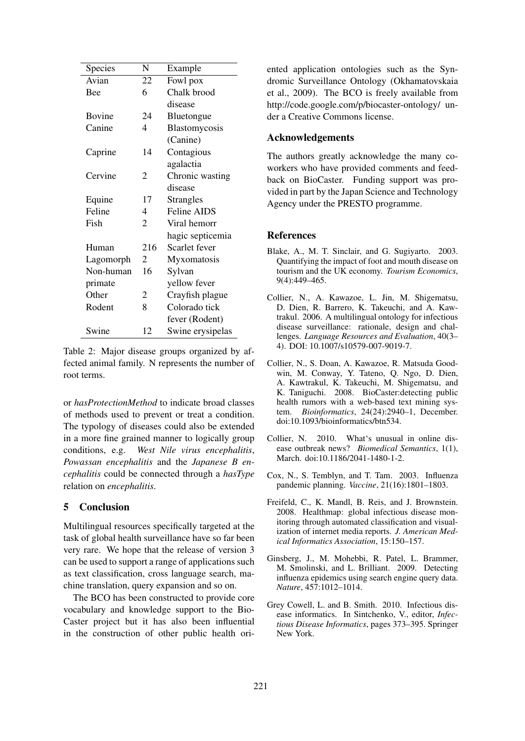| Species       | N              | Example          |
|---------------|----------------|------------------|
| Avian         | 22             | Fowl pox         |
| Bee           | 6              | Chalk brood      |
|               |                | disease          |
| <b>Bovine</b> | 24             | Bluetongue       |
| Canine        | 4              | Blastomycosis    |
|               |                | (Canine)         |
| Caprine       | 14             | Contagious       |
|               |                | agalactia        |
| Cervine       | 2              | Chronic wasting  |
|               |                | disease          |
| Equine        | 17             | <b>Strangles</b> |
| Feline        | 4              | Feline AIDS      |
| Fish          | $\overline{2}$ | Viral hemorr     |
|               |                | hagic septicemia |
| Human         | 216            | Scarlet fever    |
| Lagomorph     | 2              | Myxomatosis      |
| Non-human     | 16             | Sylvan           |
| primate       |                | yellow fever     |
| Other         | 2              | Crayfish plague  |
| Rodent        | 8              | Colorado tick    |
|               |                | fever (Rodent)   |
| Swine         | 12             | Swine erysipelas |

Table 2: Major disease groups organized by affected animal family. N represents the number of root terms.

or *hasProtectionMethod* to indicate broad classes of methods used to prevent or treat a condition. The typology of diseases could also be extended in a more fine grained manner to logically group conditions, e.g. *West Nile virus encephalitis*, *Powassan encephalitis* and the *Japanese B encephalitis* could be connected through a *hasType* relation on *encephalitis*.

# 5 Conclusion

Multilingual resources specifically targeted at the task of global health surveillance have so far been very rare. We hope that the release of version 3 can be used to support a range of applications such as text classification, cross language search, machine translation, query expansion and so on.

The BCO has been constructed to provide core vocabulary and knowledge support to the Bio-Caster project but it has also been influential in the construction of other public health oriented application ontologies such as the Syndromic Surveillance Ontology (Okhamatovskaia et al., 2009). The BCO is freely available from http://code.google.com/p/biocaster-ontology/ under a Creative Commons license.

# Acknowledgements

The authors greatly acknowledge the many coworkers who have provided comments and feedback on BioCaster. Funding support was provided in part by the Japan Science and Technology Agency under the PRESTO programme.

# References

- Blake, A., M. T. Sinclair, and G. Sugiyarto. 2003. Quantifying the impact of foot and mouth disease on tourism and the UK economy. *Tourism Economics*, 9(4):449–465.
- Collier, N., A. Kawazoe, L. Jin, M. Shigematsu, D. Dien, R. Barrero, K. Takeuchi, and A. Kawtrakul. 2006. A multilingual ontology for infectious disease surveillance: rationale, design and challenges. *Language Resources and Evaluation*, 40(3– 4). DOI: 10.1007/s10579-007-9019-7.
- Collier, N., S. Doan, A. Kawazoe, R. Matsuda Goodwin, M. Conway, Y. Tateno, Q. Ngo, D. Dien, A. Kawtrakul, K. Takeuchi, M. Shigematsu, and K. Taniguchi. 2008. BioCaster:detecting public health rumors with a web-based text mining system. *Bioinformatics*, 24(24):2940–1, December. doi:10.1093/bioinformatics/btn534.
- Collier, N. 2010. What's unusual in online disease outbreak news? *Biomedical Semantics*, 1(1), March. doi:10.1186/2041-1480-1-2.
- Cox, N., S. Temblyn, and T. Tam. 2003. Influenza pandemic planning. *Vaccine*, 21(16):1801–1803.
- Freifeld, C., K. Mandl, B. Reis, and J. Brownstein. 2008. Healthmap: global infectious disease monitoring through automated classification and visualization of internet media reports. *J. American Medical Informatics Association*, 15:150–157.
- Ginsberg, J., M. Mohebbi, R. Patel, L. Brammer, M. Smolinski, and L. Brilliant. 2009. Detecting influenza epidemics using search engine query data. *Nature*, 457:1012–1014.
- Grey Cowell, L. and B. Smith. 2010. Infectious disease informatics. In Sintchenko, V., editor, *Infectious Disease Informatics*, pages 373–395. Springer New York.